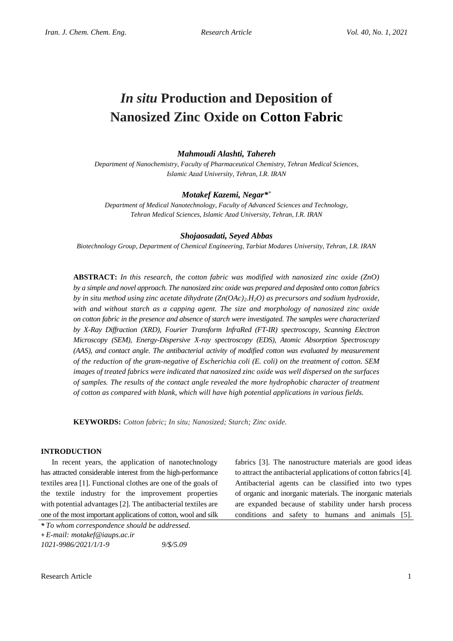# *In situ* **Production and Deposition of Nanosized Zinc Oxide on Cotton Fabric**

# *Mahmoudi Alashti, Tahereh*

*Department of Nanochemistry, Faculty of Pharmaceutical Chemistry, Tehran Medical Sciences, Islamic Azad University, Tehran, I.R. IRAN*

# *Motakef Kazemi, Negar\* +*

*Department of Medical Nanotechnology, Faculty of Advanced Sciences and Technology, Tehran Medical Sciences, Islamic Azad University, Tehran, I.R. IRAN*

#### *Shojaosadati, Seyed Abbas*

*Biotechnology Group, Department of Chemical Engineering, Tarbiat Modares University, Tehran, I.R. IRAN*

**ABSTRACT:** *In this research, the cotton fabric was modified with nanosized zinc oxide (ZnO) by a simple and novel approach. The nanosized zinc oxide was prepared and deposited onto cotton fabrics by in situ method using zinc acetate dihydrate (Zn(OAc)2.H2O) as precursors and sodium hydroxide,*  with and without starch as a capping agent. The size and morphology of nanosized zinc oxide *on cotton fabric in the presence and absence of starch were investigated. The samples were characterized by X-Ray Diffraction (XRD), Fourier Transform InfraRed (FT-IR) spectroscopy, Scanning Electron Microscopy (SEM), Energy-Dispersive X-ray spectroscopy (EDS), Atomic Absorption Spectroscopy (AAS), and contact angle. The antibacterial activity of modified cotton was evaluated by measurement of the reduction of the gram-negative of Escherichia coli (E. coli) on the treatment of cotton. SEM images of treated fabrics were indicated that nanosized zinc oxide was well dispersed on the surfaces of samples. The results of the contact angle revealed the more hydrophobic character of treatment of cotton as compared with blank, which will have high potential applications in various fields.*

**KEYWORDS:** *Cotton fabric; In situ; Nanosized; Starch; Zinc oxide.*

# **INTRODUCTION**

In recent years, the application of nanotechnology has attracted considerable interest from the high-performance textiles area [1]. Functional clothes are one of the goals of the textile industry for the improvement properties with potential advantages [2]. The antibacterial textiles are one of the most important applications of cotton, wool and silk

*\* To whom correspondence should be addressed.* **+** *E-mail: motakef@iaups.ac.ir 1021-9986/2021/1/1-9 9/\$/5.09*

fabrics [3]. The nanostructure materials are good ideas to attract the antibacterial applications of cotton fabrics [4]. Antibacterial agents can be classified into two types of organic and inorganic materials. The inorganic materials are expanded because of stability under harsh process conditions and safety to humans and animals [5].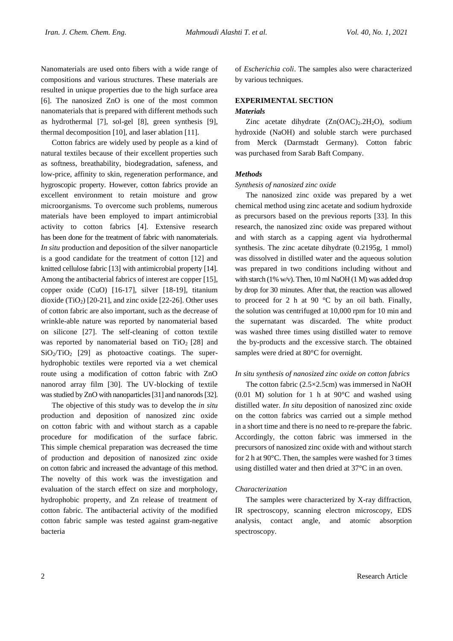Nanomaterials are used onto fibers with a wide range of compositions and various structures. These materials are resulted in unique properties due to the high surface area [6]. The nanosized ZnO is one of the most common nanomaterials that is prepared with different methods such as hydrothermal [7], sol-gel [8], green synthesis [9], thermal decomposition [10], and laser ablation [11].

Cotton fabrics are widely used by people as a kind of natural textiles because of their excellent properties such as softness, breathability, biodegradation, safeness, and low-price, affinity to skin, regeneration performance, and hygroscopic property. However, cotton fabrics provide an excellent environment to retain moisture and grow microorganisms. To overcome such problems, numerous materials have been employed to impart antimicrobial activity to cotton fabrics [4]. Extensive research has been done for the treatment of fabric with nanomaterials. *In situ* production and deposition of the silver nanoparticle is a good candidate for the treatment of cotton [12] and knitted cellulose fabric [13] with antimicrobial property [14]. Among the antibacterial fabrics of interest are copper [15], copper oxide (CuO) [16-17], silver [18-19], titanium dioxide (TiO<sub>2</sub>) [20-21], and zinc oxide [22-26]. Other uses of cotton fabric are also important, such as the decrease of wrinkle-able nature was reported by nanomaterial based on silicone [27]. The self-cleaning of cotton textile was reported by nanomaterial based on  $TiO<sub>2</sub>$  [28] and  $SiO<sub>2</sub>/TiO<sub>2</sub>$  [29] as photoactive coatings. The superhydrophobic textiles were reported via a wet chemical route using a modification of cotton fabric with ZnO nanorod array film [30]. The UV-blocking of textile was studied by ZnO with nanoparticles [31] and nanorods [32].

The objective of this study was to develop the *in situ* production and deposition of nanosized zinc oxide on cotton fabric with and without starch as a capable procedure for modification of the surface fabric. This simple chemical preparation was decreased the time of production and deposition of nanosized zinc oxide on cotton fabric and increased the advantage of this method. The novelty of this work was the investigation and evaluation of the starch effect on size and morphology, hydrophobic property, and Zn release of treatment of cotton fabric. The antibacterial activity of the modified cotton fabric sample was tested against gram-negative bacteria

of *Escherichia coli*. The samples also were characterized by various techniques.

# **EXPERIMENTAL SECTION** *Materials*

Zinc acetate dihydrate  $(Zn(OAC)_2.2H_2O)$ , sodium hydroxide (NaOH) and soluble starch were purchased from Merck (Darmstadt Germany). Cotton fabric was purchased from Sarab Baft Company.

# *Methods*

# *Synthesis of nanosized zinc oxide*

The nanosized zinc oxide was prepared by a wet chemical method using zinc acetate and sodium hydroxide as precursors based on the previous reports [33]. In this research, the nanosized zinc oxide was prepared without and with starch as a capping agent via hydrothermal synthesis. The zinc acetate dihydrate (0.2195g, 1 mmol) was dissolved in distilled water and the aqueous solution was prepared in two conditions including without and with starch (1% w/v). Then, 10 ml NaOH (1 M) was added drop by drop for 30 minutes. After that, the reaction was allowed to proceed for 2 h at 90  $\degree$ C by an oil bath. Finally, the solution was centrifuged at 10,000 rpm for 10 min and the supernatant was discarded. The white product was washed three times using distilled water to remove the by-products and the excessive starch. The obtained samples were dried at 80°C for overnight.

# *In situ synthesis of nanosized zinc oxide on cotton fabrics*

The cotton fabric (2.5×2.5cm) was immersed in NaOH (0.01 M) solution for 1 h at 90°C and washed using distilled water. *In situ* deposition of nanosized zinc oxide on the cotton fabrics was carried out a simple method in a short time and there is no need to re-prepare the fabric. Accordingly, the cotton fabric was immersed in the precursors of nanosized zinc oxide with and without starch for 2 h at 90°C. Then, the samples were washed for 3 times using distilled water and then dried at 37°C in an oven.

# *Characterization*

The samples were characterized by X-ray diffraction, IR spectroscopy, scanning electron microscopy, EDS analysis, contact angle, and atomic absorption spectroscopy.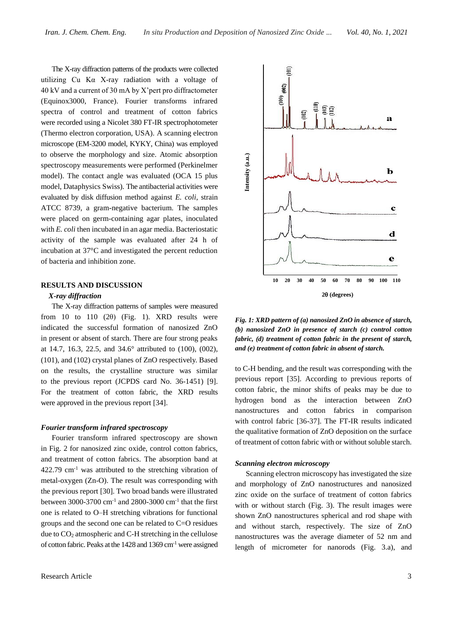The X-ray diffraction patterns of the products were collected utilizing Cu Kα X-ray radiation with a voltage of 40 kV and a current of 30 mA by X'pert pro diffractometer (Equinox3000, France). Fourier transforms infrared spectra of control and treatment of cotton fabrics were recorded using a Nicolet 380 FT-IR spectrophotometer (Thermo electron corporation, USA). A scanning electron microscope (EM-3200 model, KYKY, China) was employed to observe the morphology and size. Atomic absorption spectroscopy measurements were performed (Perkinelmer model). The contact angle was evaluated (OCA 15 plus model, Dataphysics Swiss). The antibacterial activities were evaluated by disk diffusion method against *E. coli*, strain ATCC 8739, a gram-negative bacterium. The samples were placed on germ-containing agar plates, inoculated with *E. coli* then incubated in an agar media. Bacteriostatic activity of the sample was evaluated after 24 h of incubation at 37°C and investigated the percent reduction of bacteria and inhibition zone.

## **RESULTS AND DISCUSSION**

# *X-ray diffraction*

The X-ray diffraction patterns of samples were measured from 10 to 110 (2 $\theta$ ) (Fig. 1). XRD results were indicated the successful formation of nanosized ZnO in present or absent of starch. There are four strong peaks at 14.7, 16.3, 22.5, and 34.6° attributed to (100), (002), (101), and (102) crystal planes of ZnO respectively. Based on the results, the crystalline structure was similar to the previous report (JCPDS card No. 36-1451) [9]. For the treatment of cotton fabric, the XRD results were approved in the previous report [34].

## *Fourier transform infrared spectroscopy*

Fourier transform infrared spectroscopy are shown in Fig. 2 for nanosized zinc oxide, control cotton fabrics, and treatment of cotton fabrics. The absorption band at 422.79  $\text{cm}^{-1}$  was attributed to the stretching vibration of metal-oxygen (Zn-O). The result was corresponding with the previous report [30]. Two broad bands were illustrated between 3000-3700  $\text{cm}^{-1}$  and 2800-3000  $\text{cm}^{-1}$  that the first one is related to O–H stretching vibrations for functional groups and the second one can be related to C=O residues due to  $CO<sub>2</sub>$  atmospheric and C-H stretching in the cellulose of cotton fabric. Peaks at the 1428 and 1369 cm-1 were assigned



*Fig. 1: XRD pattern of (a) nanosized ZnO in absence of starch, (b) nanosized ZnO in presence of starch (c) control cotton fabric, (d) treatment of cotton fabric in the present of starch, and (e) treatment of cotton fabric in absent of starch.*

to C-H bending, and the result was corresponding with the previous report [35]. According to previous reports of cotton fabric, the minor shifts of peaks may be due to hydrogen bond as the interaction between ZnO nanostructures and cotton fabrics in comparison with control fabric [36-37]. The FT-IR results indicated the qualitative formation of ZnO deposition on the surface of treatment of cotton fabric with or without soluble starch.

#### *Scanning electron microscopy*

Scanning electron microscopy has investigated the size and morphology of ZnO nanostructures and nanosized zinc oxide on the surface of treatment of cotton fabrics with or without starch (Fig. 3). The result images were shown ZnO nanostructures spherical and rod shape with and without starch, respectively. The size of ZnO nanostructures was the average diameter of 52 nm and length of micrometer for nanorods (Fig. 3.a), and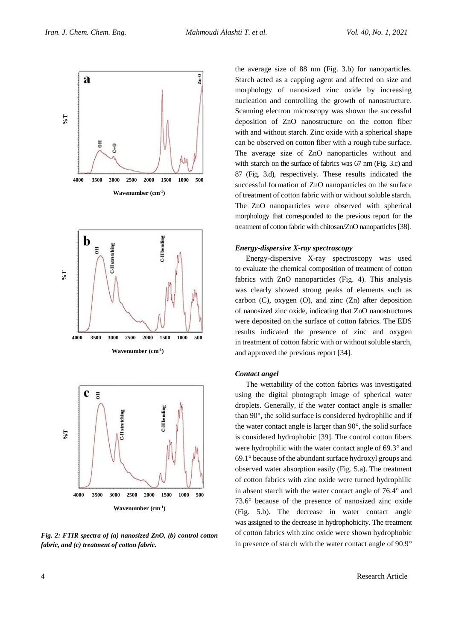





*Fig. 2: FTIR spectra of (a) nanosized ZnO, (b) control cotton fabric, and (c) treatment of cotton fabric.*

the average size of 88 nm (Fig. 3.b) for nanoparticles. Starch acted as a capping agent and affected on size and morphology of nanosized zinc oxide by increasing nucleation and controlling the growth of nanostructure. Scanning electron microscopy was shown the successful deposition of ZnO nanostructure on the cotton fiber with and without starch. Zinc oxide with a spherical shape can be observed on cotton fiber with a rough tube surface. The average size of ZnO nanoparticles without and with starch on the surface of fabrics was 67 nm (Fig. 3.c) and 87 (Fig. 3.d), respectively. These results indicated the successful formation of ZnO nanoparticles on the surface of treatment of cotton fabric with or without soluble starch. The ZnO nanoparticles were observed with spherical morphology that corresponded to the previous report for the treatment of cotton fabric with chitosan/ZnO nanoparticles [38].

## *Energy-dispersive X-ray spectroscopy*

Energy-dispersive X-ray spectroscopy was used to evaluate the chemical composition of treatment of cotton fabrics with ZnO nanoparticles (Fig. 4). This analysis was clearly showed strong peaks of elements such as carbon (C), oxygen (O), and zinc (Zn) after deposition of nanosized zinc oxide, indicating that ZnO nanostructures were deposited on the surface of cotton fabrics. The EDS results indicated the presence of zinc and oxygen in treatment of cotton fabric with or without soluble starch, and approved the previous report [34].

#### *Contact angel*

The wettability of the cotton fabrics was investigated using the digital photograph image of spherical water droplets. Generally, if the water contact angle is smaller than 90°, the solid surface is considered hydrophilic and if the water contact angle is larger than 90°, the solid surface is considered hydrophobic [39]. The control cotton fibers were hydrophilic with the water contact angle of  $69.3^\circ$  and 69.1° because of the abundant surface hydroxyl groups and observed water absorption easily (Fig. 5.a). The treatment of cotton fabrics with zinc oxide were turned hydrophilic in absent starch with the water contact angle of  $76.4^\circ$  and 73.6° because of the presence of nanosized zinc oxide (Fig. 5.b). The decrease in water contact angle was assigned to the decrease in hydrophobicity. The treatment of cotton fabrics with zinc oxide were shown hydrophobic in presence of starch with the water contact angle of 90.9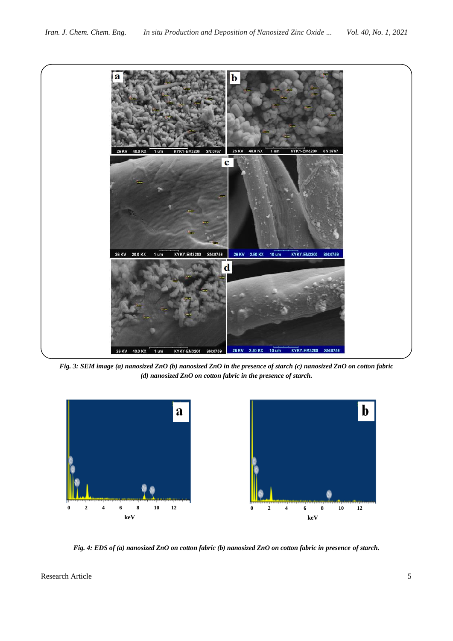

*Fig. 3: SEM image (a) nanosized ZnO (b) nanosized ZnO in the presence of starch (c) nanosized ZnO on cotton fabric (d) nanosized ZnO on cotton fabric in the presence of starch.*



*Fig. 4: EDS of (a) nanosized ZnO on cotton fabric (b) nanosized ZnO on cotton fabric in presence of starch.*

Research Article 5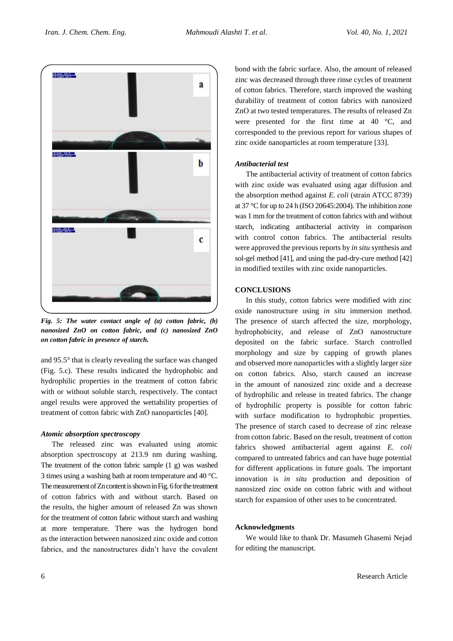

*Fig. 5: The water contact angle of (a) cotton fabric, (b) nanosized ZnO on cotton fabric, and (c) nanosized ZnO on cotton fabric in presence of starch.*

and 95.5° that is clearly revealing the surface was changed (Fig. 5.c). These results indicated the hydrophobic and hydrophilic properties in the treatment of cotton fabric with or without soluble starch, respectively. The contact angel results were approved the wettability properties of treatment of cotton fabric with ZnO nanoparticles [40].

## *Atomic absorption spectroscopy*

The released zinc was evaluated using atomic absorption spectroscopy at 213.9 nm during washing. The treatment of the cotton fabric sample (1 g) was washed 3 times using a washing bath at room temperature and 40 °C. The measurement of Zn content is shown in Fig. 6 for the treatment of cotton fabrics with and without starch. Based on the results, the higher amount of released Zn was shown for the treatment of cotton fabric without starch and washing at more temperature. There was the hydrogen bond as the interaction between nanosized zinc oxide and cotton fabrics, and the nanostructures didn't have the covalent

bond with the fabric surface. Also, the amount of released zinc was decreased through three rinse cycles of treatment of cotton fabrics. Therefore, starch improved the washing durability of treatment of cotton fabrics with nanosized ZnO at two tested temperatures. The results of released Zn were presented for the first time at 40 °C, and corresponded to the previous report for various shapes of zinc oxide nanoparticles at room temperature [33].

# *Antibacterial test*

The antibacterial activity of treatment of cotton fabrics with zinc oxide was evaluated using agar diffusion and the absorption method against *E. coli* (strain ATCC 8739) at 37 °C for up to 24 h (ISO 20645:2004). The inhibition zone was 1 mm for the treatment of cotton fabrics with and without starch, indicating antibacterial activity in comparison with control cotton fabrics. The antibacterial results were approved the previous reports by *in situ* synthesis and sol-gel method [41], and using the pad-dry-cure method [42] in modified textiles with zinc oxide nanoparticles.

# **CONCLUSIONS**

In this study, cotton fabrics were modified with zinc oxide nanostructure using *in situ* immersion method. The presence of starch affected the size, morphology, hydrophobicity, and release of ZnO nanostructure deposited on the fabric surface. Starch controlled morphology and size by capping of growth planes and observed more nanoparticles with a slightly larger size on cotton fabrics. Also, starch caused an increase in the amount of nanosized zinc oxide and a decrease of hydrophilic and release in treated fabrics. The change of hydrophilic property is possible for cotton fabric with surface modification to hydrophobic properties. The presence of starch cased to decrease of zinc release from cotton fabric. Based on the result, treatment of cotton fabrics showed antibacterial agent against *E. coli* compared to untreated fabrics and can have huge potential for different applications in future goals. The important innovation is *in situ* production and deposition of nanosized zinc oxide on cotton fabric with and without starch for expansion of other uses to be concentrated.

## **Acknowledgments**

We would like to thank Dr. Masumeh Ghasemi Nejad for editing the manuscript.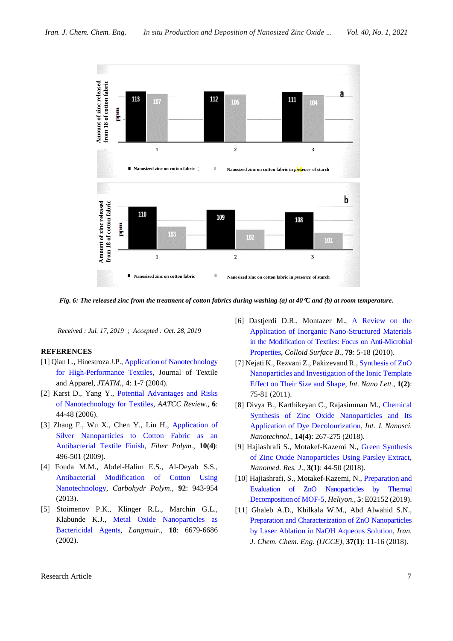

*Fig. 6: The released zinc from the treatment of cotton fabrics during washing (a) at 40C and (b) at room temperature.*

*Received : Jul. 17, 2019 ; Accepted : Oct. 28, 2019*

# **REFERENCES**

- [1] Qian L., Hinestroza J.P.[, Application of Nanotechnology](https://pdfs.semanticscholar.org/628c/057cedf395983102477e78b5645762a7430c.pdf)  [for High-Performance Textiles,](https://pdfs.semanticscholar.org/628c/057cedf395983102477e78b5645762a7430c.pdf) Journal of Textile and Apparel, *JTATM.,* **4**: 1-7 (2004).
- [2] Karst D., Yang Y., [Potential Advantages and Risks](https://www.researchgate.net/publication/279894119_Potential_Advantages_and_Risks_of_Nanotechnology_for_Textiles)  [of Nanotechnology for Textiles,](https://www.researchgate.net/publication/279894119_Potential_Advantages_and_Risks_of_Nanotechnology_for_Textiles) *AATCC Review.*, **6**: 44-48 (2006).
- [3] Zhang F., Wu X., Chen Y., Lin H., [Application of](https://link.springer.com/article/10.1007/s12221-009-0496-8)  [Silver Nanoparticles to Cotton Fabric as an](https://link.springer.com/article/10.1007/s12221-009-0496-8)  [Antibacterial Textile Finish,](https://link.springer.com/article/10.1007/s12221-009-0496-8) *Fiber Polym.*, **10(4)**: 496-501 (2009).
- [4] Fouda M.M., Abdel-Halim E.S., Al-Deyab S.S., [Antibacterial Modification of Cotton Using](https://www.ncbi.nlm.nih.gov/pubmed/23399115)  [Nanotechnology,](https://www.ncbi.nlm.nih.gov/pubmed/23399115) *Carbohydr Polym*., **92**: 943-954 (2013).
- [5] Stoimenov P.K., Klinger R.L., Marchin G.L., Klabunde K.J., [Metal Oxide Nanoparticles as](https://pubs.acs.org/doi/10.1021/la0202374)  [Bactericidal Agents,](https://pubs.acs.org/doi/10.1021/la0202374) *Langmuir*., **18**: 6679-6686 (2002).
- [6] Dastjerdi D.R., Montazer M., [A Review on the](https://www.sciencedirect.com/science/article/pii/S0927776510001773)  [Application of Inorganic Nano-Structured Materials](https://www.sciencedirect.com/science/article/pii/S0927776510001773)  [in the Modification of Textiles: Focus on Anti-Microbial](https://www.sciencedirect.com/science/article/pii/S0927776510001773)  [Properties,](https://www.sciencedirect.com/science/article/pii/S0927776510001773) *Colloid Surface B.*, **79**: 5-18 (2010).
- [7] Nejati K., Rezvani Z., Pakizevand R.[, Synthesis of ZnO](https://www.researchgate.net/publication/261992038_Synthesis_of_ZnO_nanoparticles_and_investigation_of_the_ionic_template_effect_on_their_size_and_shape) [Nanoparticles and Investigation of the Ionic Template](https://www.researchgate.net/publication/261992038_Synthesis_of_ZnO_nanoparticles_and_investigation_of_the_ionic_template_effect_on_their_size_and_shape)  [Effect on Their Size and Shape,](https://www.researchgate.net/publication/261992038_Synthesis_of_ZnO_nanoparticles_and_investigation_of_the_ionic_template_effect_on_their_size_and_shape) *Int. Nano Lett.*, **1(2)**: 75-81 (2011).
- [8] Divya B., Karthikeyan C., Rajasimman M., [Chemical](https://www.researchgate.net/publication/329308145_Chemical_Synthesis_of_Zinc_Oxide_Nanoparticles_and_Its_Application_of_Dye_Decolourization)  [Synthesis of Zinc Oxide Nanoparticles and Its](https://www.researchgate.net/publication/329308145_Chemical_Synthesis_of_Zinc_Oxide_Nanoparticles_and_Its_Application_of_Dye_Decolourization)  [Application of Dye Decolourization,](https://www.researchgate.net/publication/329308145_Chemical_Synthesis_of_Zinc_Oxide_Nanoparticles_and_Its_Application_of_Dye_Decolourization) *Int. J. Nanosci. Nanotechnol*., **14(4)**: 267-275 (2018).
- [9] Hajiashrafi S., Motakef-Kazemi N., [Green Synthesis](http://www.nanomedicine-rj.com/article_31900.html)  [of Zinc Oxide Nanoparticles Using Parsley Extract,](http://www.nanomedicine-rj.com/article_31900.html) *Nanomed. Res. J*., **3(1)**: 44-50 (2018).
- [10] Hajiashrafi, S., Motakef-Kazemi, N., [Preparation and](https://www.sciencedirect.com/science/article/pii/S2405844019358128)  Evaluation of ZnO [Nanoparticles by Thermal](https://www.sciencedirect.com/science/article/pii/S2405844019358128)  [Decomposition of MOF-5,](https://www.sciencedirect.com/science/article/pii/S2405844019358128) *Heliyon.,* **5**: E02152 (2019).
- [11] Ghaleb A.D., Khilkala W.M., Abd Alwahid S.N., [Preparation and Characterization of ZnO](http://www.ijcce.ac.ir/article_31948.html) Nanoparticles [by Laser Ablation in NaOH Aqueous Solution,](http://www.ijcce.ac.ir/article_31948.html) *Iran. J. Chem. Chem. Eng*. *(IJCCE)*, **37(1)**: 11-16 (2018).

Research Article 7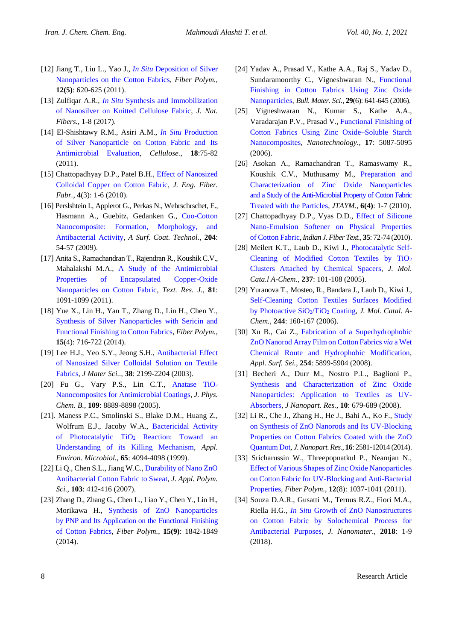- [12] Jiang T., Liu L., Yao J., *In Situ* [Deposition of Silver](https://www.researchgate.net/publication/251312200_In_situ_Deposition_of_Silver_Nanoparticles_on_the_Cotton_Fabrics)  [Nanoparticles on the Cotton Fabrics,](https://www.researchgate.net/publication/251312200_In_situ_Deposition_of_Silver_Nanoparticles_on_the_Cotton_Fabrics) *Fiber Polym.*, **12(5)**: 620-625 (2011).
- [13] Zulfiqar A.R., *In Situ* [Synthesis and Immobilization](https://www.tandfonline.com/doi/abs/10.1080/15440478.2017.1321517?journalCode=wjnf20)  [of Nanosilver on Knitted Cellulose Fabric,](https://www.tandfonline.com/doi/abs/10.1080/15440478.2017.1321517?journalCode=wjnf20) *J. Nat. Fibers.*, 1-8 (2017).
- [14] El-Shishtawy R.M., Asiri A.M., *In Situ* [Production](https://link.springer.com/article/10.1007/s10570-010-9455-1)  [of Silver Nanoparticle on Cotton Fabric and Its](https://link.springer.com/article/10.1007/s10570-010-9455-1)  [Antimicrobial Evaluation,](https://link.springer.com/article/10.1007/s10570-010-9455-1) *Cellulose.*, **18**:75-82 (2011).
- [15] Chattopadhyay D.P., Patel B.H., Effect of Nanosized [Colloidal Copper on Cotton Fabric,](https://www.jeffjournal.org/papers/Volume5/5-3-1Chattopadhyay1.pdf) *J. Eng. Fiber. Fabr.*, **4**(3): 1-6 (2010).
- [16] Perslshtein I., Applerot G., Perkas N., Wehrschrschet, E., Hasmann A., Guebitz, Gedanken G., [Cuo-Cotton](https://www.sciencedirect.com/science/article/abs/pii/S0257897209005246)  [Nanocomposite: Formation, Morphology, and](https://www.sciencedirect.com/science/article/abs/pii/S0257897209005246)  [Antibacterial Activity,](https://www.sciencedirect.com/science/article/abs/pii/S0257897209005246) *A Surf. Coat. Technol.*, **204**: 54-57 (2009).
- [17] Anita S., Ramachandran T., Rajendran R., Koushik C.V., Mahalakshi M.A., [A Study of the Antimicrobial](https://www.researchgate.net/publication/258195888_A_study_of_the_antimicrobial_property_of_encapsulated_copper_oxide_nanoparticles_on_cotton_fabric)  [Properties of Encapsulated Copper-Oxide](https://www.researchgate.net/publication/258195888_A_study_of_the_antimicrobial_property_of_encapsulated_copper_oxide_nanoparticles_on_cotton_fabric)  [Nanoparticles on Cotton Fabric,](https://www.researchgate.net/publication/258195888_A_study_of_the_antimicrobial_property_of_encapsulated_copper_oxide_nanoparticles_on_cotton_fabric) *Text. Res. J.*, **81**: 1091-1099 (2011).
- [18] Yue X., Lin H., Yan T., Zhang D., Lin H., Chen Y., [Synthesis of Silver Nanoparticles with Sericin and](https://www.researchgate.net/publication/271661005_Synthesis_of_Silver_Nanoparticles_with_Sericin_and_Functional_Finishing_to_Cotton_Fabrics)  [Functional Finishing to Cotton Fabrics,](https://www.researchgate.net/publication/271661005_Synthesis_of_Silver_Nanoparticles_with_Sericin_and_Functional_Finishing_to_Cotton_Fabrics) *Fiber Polym.*, **15**(4): 716-722 (2014).
- [19] Lee H.J., Yeo S.Y., Jeong S.H., [Antibacterial Effect](https://link.springer.com/article/10.1023/A:1023736416361)  [of Nanosized Silver Colloidal Solution on Textile](https://link.springer.com/article/10.1023/A:1023736416361)  [Fabrics,](https://link.springer.com/article/10.1023/A:1023736416361) *J Mater Sci..*, **38**: 2199-2204 (2003).
- [20] Fu G., Vary P.S., Lin C.T., Anatase  $TiO<sub>2</sub>$ [Nanocomposites for Antimicrobial Coatings,](https://pubs.acs.org/doi/pdf/10.1021/jp0502196) *J. Phys. Chem. B.*, **109**: 8889-8898 (2005).
- [21]. Maness P.C., Smolinski S., Blake D.M., Huang Z., Wolfrum E.J., Jacoby W.A., [Bactericidal Activity](https://www.ncbi.nlm.nih.gov/pubmed/10473421)  [of Photocatalytic TiO](https://www.ncbi.nlm.nih.gov/pubmed/10473421)<sub>2</sub> Reaction: Toward an [Understanding of its Killing Mechanism,](https://www.ncbi.nlm.nih.gov/pubmed/10473421) *Appl. Environ. Microbiol.*, **65**: 4094-4098 (1999).
- [22] Li Q., Chen S.L., Jiang W.C., [Durability of Nano ZnO](https://onlinelibrary.wiley.com/doi/abs/10.1002/app.24866) [Antibacterial Cotton Fabric to Sweat,](https://onlinelibrary.wiley.com/doi/abs/10.1002/app.24866) *J. Appl. Polym. Sci.*, **103**: 412-416 (2007).
- [23] Zhang D., Zhang G., Chen L., Liao Y., Chen Y., Lin H., Morikawa H., [Synthesis of ZnO](https://www.researchgate.net/publication/278663693_Synthesis_of_ZnO_Nanoparticles_by_PNP_and_Its_Application_on_the_Functional_Finishing_of_Cotton_Fabrics) Nanoparticles [by PNP and Its Application on the Functional Finishing](https://www.researchgate.net/publication/278663693_Synthesis_of_ZnO_Nanoparticles_by_PNP_and_Its_Application_on_the_Functional_Finishing_of_Cotton_Fabrics) [of Cotton Fabrics,](https://www.researchgate.net/publication/278663693_Synthesis_of_ZnO_Nanoparticles_by_PNP_and_Its_Application_on_the_Functional_Finishing_of_Cotton_Fabrics) *Fiber Polym.*, **15(9)**: 1842-1849 (2014).
- [24] Yadav A., Prasad V., Kathe A.A., Raj S., Yadav D., Sundaramoorthy C., Vigneshwaran N., [Functional](https://link.springer.com/article/10.1007/s12034-006-0017-y)  [Finishing in Cotton Fabrics Using Zinc Oxide](https://link.springer.com/article/10.1007/s12034-006-0017-y)  [Nanoparticles,](https://link.springer.com/article/10.1007/s12034-006-0017-y) *Bull. Mater. Sci.*, **29**(6): 641-645 (2006).
- [25] Vigneshwaran N., Kumar S., Kathe A.A., Varadarajan P.V., Prasad V., [Functional Finishing of](https://www.researchgate.net/publication/230919176_Functional_Finishing_of_Cotton_Fabrics_Using_Zinc_Oxide-Soluble_Starch_Nanocomposites)  [Cotton Fabrics Using Zinc Oxide–Soluble Starch](https://www.researchgate.net/publication/230919176_Functional_Finishing_of_Cotton_Fabrics_Using_Zinc_Oxide-Soluble_Starch_Nanocomposites)  [Nanocomposites,](https://www.researchgate.net/publication/230919176_Functional_Finishing_of_Cotton_Fabrics_Using_Zinc_Oxide-Soluble_Starch_Nanocomposites) *Nanotechnology.*, **17**: 5087-5095 (2006).
- [26] Asokan A., Ramachandran T., Ramaswamy R., Koushik C.V., Muthusamy M., [Preparation and](https://www.researchgate.net/publication/277043536_Preparation_and_Characterization_of_Zinc_Oxide_Nanoparticles_and_a_Study_of_the_Anti-microbial_Property_of_Cotton_Fabric_Treated_with_the_Particles)  [Characterization of Zinc Oxide Nanoparticles](https://www.researchgate.net/publication/277043536_Preparation_and_Characterization_of_Zinc_Oxide_Nanoparticles_and_a_Study_of_the_Anti-microbial_Property_of_Cotton_Fabric_Treated_with_the_Particles)  [and a Study of the Anti-Microbial Property of Cotton Fabric](https://www.researchgate.net/publication/277043536_Preparation_and_Characterization_of_Zinc_Oxide_Nanoparticles_and_a_Study_of_the_Anti-microbial_Property_of_Cotton_Fabric_Treated_with_the_Particles)  [Treated with the Particles,](https://www.researchgate.net/publication/277043536_Preparation_and_Characterization_of_Zinc_Oxide_Nanoparticles_and_a_Study_of_the_Anti-microbial_Property_of_Cotton_Fabric_Treated_with_the_Particles) *JTAYM*., **6(4)**: 1-7 (2010).
- [27] Chattopadhyay D.P., Vyas D.D., Effect of Silicone [Nano-Emulsion Softener on Physical Properties](https://pdfs.semanticscholar.org/54f3/f621ef988b3b47729c3bbfde9706ab753f91.pdf)  [of Cotton Fabric,](https://pdfs.semanticscholar.org/54f3/f621ef988b3b47729c3bbfde9706ab753f91.pdf) *Indian J. Fiber Text.*, **35**: 72-74 (2010).
- [28] Meilert K.T., Laub D., Kiwi J., [Photocatalytic Self-](https://www.sciencedirect.com/science/article/pii/S1381116905002001)[Cleaning of Modified Cotton Textiles by TiO](https://www.sciencedirect.com/science/article/pii/S1381116905002001)<sub>2</sub> [Clusters Attached by Chemical Spacers,](https://www.sciencedirect.com/science/article/pii/S1381116905002001) *J. Mol. Cata.l A-Chem.*, **237**: 101-108 (2005).
- [29] Yuranova T., Mosteo, R., Bandara J., Laub D., Kiwi J., [Self-Cleaning Cotton Textiles Surfaces Modified](https://www.sciencedirect.com/science/article/pii/S1381116905006199)  [by Photoactive SiO](https://www.sciencedirect.com/science/article/pii/S1381116905006199)2/TiO<sup>2</sup> Coating, *J. Mol. Catal. A-Chem.*, **244**: 160-167 (2006).
- [30] Xu B., Cai Z., [Fabrication of a Superhydrophobic](https://www.researchgate.net/publication/248194793_Fabrication_of_a_Superhydrophobic_ZnO_Nanorod_Array_Film_on_Cotton_Fabrics_Via_a_Wet_Chemical_Route_and_Hydrophobic_Modification)  ZnO [Nanorod Array Film on Cotton Fabrics](https://www.researchgate.net/publication/248194793_Fabrication_of_a_Superhydrophobic_ZnO_Nanorod_Array_Film_on_Cotton_Fabrics_Via_a_Wet_Chemical_Route_and_Hydrophobic_Modification) *via* a Wet [Chemical Route and Hydrophobic Modification,](https://www.researchgate.net/publication/248194793_Fabrication_of_a_Superhydrophobic_ZnO_Nanorod_Array_Film_on_Cotton_Fabrics_Via_a_Wet_Chemical_Route_and_Hydrophobic_Modification) *Appl. Surf. Sei.*, **254**: 5899-5904 (2008).
- [31] Becheri A., Durr M., Nostro P.L., Baglioni P., [Synthesis and Characterization of Zinc Oxide](https://link.springer.com/article/10.1007/s11051-007-9318-3)  [Nanoparticles: Application to Textiles as UV-](https://link.springer.com/article/10.1007/s11051-007-9318-3)[Absorbers,](https://link.springer.com/article/10.1007/s11051-007-9318-3) *J Nanopart. Res.*, **10**: 679-689 (2008).
- [32] Li R., Che J., Zhang H., He J., Bahi A., Ko F., [Study](https://link.springer.com/article/10.1007/s11051-014-2581-1)  on Synthesis of ZnO [Nanorods and Its UV-Blocking](https://link.springer.com/article/10.1007/s11051-014-2581-1)  [Properties on Cotton Fabrics Coated with the ZnO](https://link.springer.com/article/10.1007/s11051-014-2581-1) [Quantum Dot,](https://link.springer.com/article/10.1007/s11051-014-2581-1) *J.Nanopart.Res.*, **16**: 2581-12014 (2014).
- [33] Sricharussin W., Threepopnatkul P., Neamjan N., [Effect of Various Shapes of Zinc Oxide Nanoparticles](https://link.springer.com/article/10.1007/s12221-011-1037-9)  [on Cotton Fabric for UV-Blocking and Anti-Bacterial](https://link.springer.com/article/10.1007/s12221-011-1037-9)  [Properties,](https://link.springer.com/article/10.1007/s12221-011-1037-9) *Fiber Polym.*, **12**(8): 1037-1041 (2011).
- [34] Souza D.A.R., Gusatti M., Ternus R.Z., Fiori M.A., Riella H.G., *In Situ* [Growth of ZnO](https://www.researchgate.net/publication/327330924_In_Situ_Growth_of_ZnO_Nanostructures_on_Cotton_Fabric_by_Solochemical_Process_for_Antibacterial_Purposes) Nanostructures [on Cotton Fabric by Solochemical Process for](https://www.researchgate.net/publication/327330924_In_Situ_Growth_of_ZnO_Nanostructures_on_Cotton_Fabric_by_Solochemical_Process_for_Antibacterial_Purposes)  [Antibacterial Purposes,](https://www.researchgate.net/publication/327330924_In_Situ_Growth_of_ZnO_Nanostructures_on_Cotton_Fabric_by_Solochemical_Process_for_Antibacterial_Purposes) *J. Nanomater*., **2018**: 1-9 (2018).